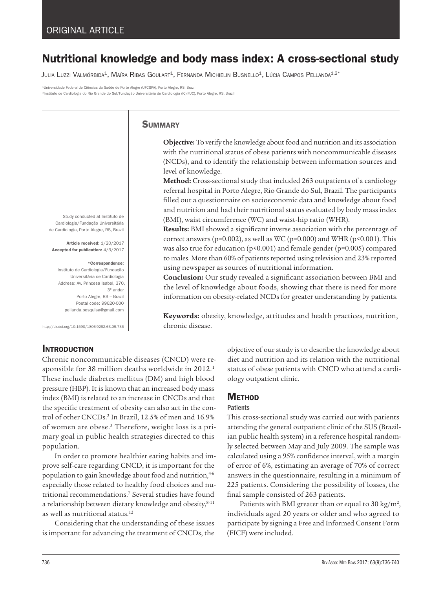# Nutritional knowledge and body mass index: A cross-sectional study

Julia Luzzi Valmórbida<sup>1</sup>, Maíra Ribas Goulart<sup>1</sup>, Fernanda Michielin Busnello<sup>1</sup>, Lúcia Campos Pellanda<sup>1,2\*</sup>

1Universidade Federal de Ciências da Saúde de Porto Alegre (UFCSPA), Porto Alegre, RS, Brazil 2Instituto de Cardiologia do Rio Grande do Sul/Fundação Universitária de Cardiologia (IC/FUC), Porto Alegre, RS, Brazil

## **SUMMARY**

**Objective:** To verify the knowledge about food and nutrition and its association with the nutritional status of obese patients with noncommunicable diseases (NCDs), and to identify the relationship between information sources and level of knowledge.

**Method:** Cross-sectional study that included 263 outpatients of a cardiology referral hospital in Porto Alegre, Rio Grande do Sul, Brazil. The participants filled out a questionnaire on socioeconomic data and knowledge about food and nutrition and had their nutritional status evaluated by body mass index (BMI), waist circumference (WC) and waist-hip ratio (WHR).

**Results:** BMI showed a significant inverse association with the percentage of correct answers (p=0.002), as well as WC (p=0.000) and WHR (p<0.001). This was also true for education (p<0.001) and female gender (p=0.005) compared to males. More than 60% of patients reported using television and 23% reported using newspaper as sources of nutritional information.

**Conclusion:** Our study revealed a significant association between BMI and the level of knowledge about foods, showing that there is need for more information on obesity-related NCDs for greater understanding by patients.

**Keywords:** obesity, knowledge, attitudes and health practices, nutrition, chronic disease.

http://dx.doi.org/10.1590/1806-9282.63.09.736

Study conducted at Instituto de Cardiologia/Fundação Universitária de Cardiologia, Porto Alegre, RS, Brazil

Article received: 1/20/2017 Accepted for publication: 4/3/2017

Instituto de Cardiologia/Fundação Universitária de Cardiologia Address: Av. Princesa Isabel, 370,

\*Correspondence:

Porto Alegre, RS – Brazil Postal code: 99620-000 pellanda.pesquisa@gmail.com

3º andar

## **INTRODUCTION**

Chronic noncommunicable diseases (CNCD) were responsible for 38 million deaths worldwide in 2012.<sup>1</sup> These include diabetes mellitus (DM) and high blood pressure (HBP). It is known that an increased body mass index (BMI) is related to an increase in CNCDs and that the specific treatment of obesity can also act in the control of other CNCDs.2 In Brazil, 12.5% of men and 16.9% of women are obese.<sup>3</sup> Therefore, weight loss is a primary goal in public health strategies directed to this population.

In order to promote healthier eating habits and improve self-care regarding CNCD, it is important for the population to gain knowledge about food and nutrition,<sup>46</sup> especially those related to healthy food choices and nutritional recommendations.7 Several studies have found a relationship between dietary knowledge and obesity,<sup>8-11</sup> as well as nutritional status.12

Considering that the understanding of these issues is important for advancing the treatment of CNCDs, the objective of our study is to describe the knowledge about diet and nutrition and its relation with the nutritional status of obese patients with CNCD who attend a cardiology outpatient clinic.

# **METHOD**

#### **Patients**

This cross-sectional study was carried out with patients attending the general outpatient clinic of the SUS (Brazilian public health system) in a reference hospital randomly selected between May and July 2009. The sample was calculated using a 95% confidence interval, with a margin of error of 6%, estimating an average of 70% of correct answers in the questionnaire, resulting in a minimum of 225 patients. Considering the possibility of losses, the final sample consisted of 263 patients.

Patients with BMI greater than or equal to 30 kg/m<sup>2</sup>, individuals aged 20 years or older and who agreed to participate by signing a Free and Informed Consent Form (FICF) were included.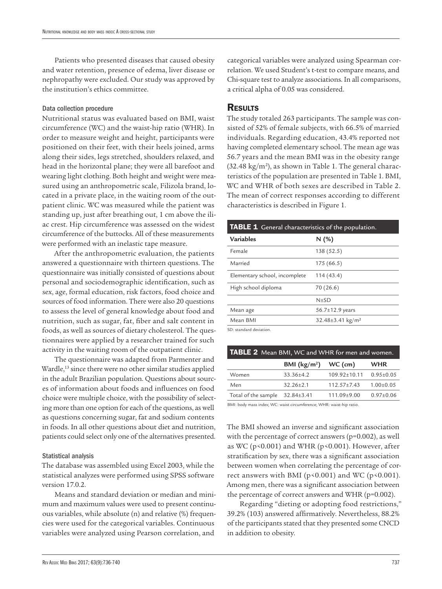Patients who presented diseases that caused obesity and water retention, presence of edema, liver disease or nephropathy were excluded. Our study was approved by the institution's ethics committee.

#### Data collection procedure

Nutritional status was evaluated based on BMI, waist circumference (WC) and the waist-hip ratio (WHR). In order to measure weight and height, participants were positioned on their feet, with their heels joined, arms along their sides, legs stretched, shoulders relaxed, and head in the horizontal plane; they were all barefoot and wearing light clothing. Both height and weight were measured using an anthropometric scale, Filizola brand, located in a private place, in the waiting room of the outpatient clinic. WC was measured while the patient was standing up, just after breathing out, 1 cm above the iliac crest. Hip circumference was assessed on the widest circumference of the buttocks. All of these measurements were performed with an inelastic tape measure.

After the anthropometric evaluation, the patients answered a questionnaire with thirteen questions. The questionnaire was initially consisted of questions about personal and sociodemographic identification, such as sex, age, formal education, risk factors, food choice and sources of food information. There were also 20 questions to assess the level of general knowledge about food and nutrition, such as sugar, fat, fiber and salt content in foods, as well as sources of dietary cholesterol. The questionnaires were applied by a researcher trained for such activity in the waiting room of the outpatient clinic.

The questionnaire was adapted from Parmenter and Wardle,<sup>13</sup> since there were no other similar studies applied in the adult Brazilian population. Questions about sources of information about foods and influences on food choice were multiple choice, with the possibility of selecting more than one option for each of the questions, as well as questions concerning sugar, fat and sodium contents in foods. In all other questions about diet and nutrition, patients could select only one of the alternatives presented.

#### Statistical analysis

The database was assembled using Excel 2003, while the statistical analyzes were performed using SPSS software version 17.0.2.

Means and standard deviation or median and minimum and maximum values were used to present continuous variables, while absolute (n) and relative (%) frequencies were used for the categorical variables. Continuous variables were analyzed using Pearson correlation, and

categorical variables were analyzed using Spearman correlation. We used Student's t-test to compare means, and Chi-square test to analyze associations. In all comparisons, a critical alpha of 0.05 was considered.

## **RESULTS**

The study totaled 263 participants. The sample was consisted of 52% of female subjects, with 66.5% of married individuals. Regarding education, 43.4% reported not having completed elementary school. The mean age was 56.7 years and the mean BMI was in the obesity range  $(32.48 \text{ kg/m}^2)$ , as shown in Table 1. The general characteristics of the population are presented in Table 1. BMI, WC and WHR of both sexes are described in Table 2. The mean of correct responses according to different characteristics is described in Figure 1.

| <b>TABLE 1</b> General characteristics of the population. |  |  |  |
|-----------------------------------------------------------|--|--|--|
| N(%)                                                      |  |  |  |
| 138 (52.5)                                                |  |  |  |
| 175(66.5)                                                 |  |  |  |
| 114(43.4)                                                 |  |  |  |
| 70 (26.6)                                                 |  |  |  |
| $N \pm SD$                                                |  |  |  |
| $56.7 \pm 12.9$ years                                     |  |  |  |
| $32.48 \pm 3.41 \text{ kg/m}^2$                           |  |  |  |
|                                                           |  |  |  |

SD: standard deviation.

| <b>TABLE 2</b> Mean BMI, WC and WHR for men and women. |                         |                    |                 |
|--------------------------------------------------------|-------------------------|--------------------|-----------------|
|                                                        | BMI ( $\text{kg/m}^2$ ) | $WC$ (cm)          | <b>WHR</b>      |
| Women                                                  | $33.36 \pm 4.2$         | $109.92 \pm 10.11$ | $0.95 \pm 0.05$ |
| Men                                                    | $32.26 \pm 2.1$         | $112.57 \pm 7.43$  | $1.00 \pm 0.05$ |
| Total of the sample                                    | 32.84±3.41              | 111.09±9.00        | $0.97 \pm 0.06$ |

BMI: body mass index; WC: waist circumference; WHR: waist-hip ratio.

The BMI showed an inverse and significant association with the percentage of correct answers (p=0.002), as well as WC ( $p$ <0.001) and WHR ( $p$ <0.001). However, after stratification by sex, there was a significant association between women when correlating the percentage of correct answers with BMI (p<0.001) and WC (p<0.001). Among men, there was a significant association between the percentage of correct answers and WHR (p=0.002).

Regarding "dieting or adopting food restrictions," 39.2% (103) answered affirmatively. Nevertheless, 88.2% of the participants stated that they presented some CNCD in addition to obesity.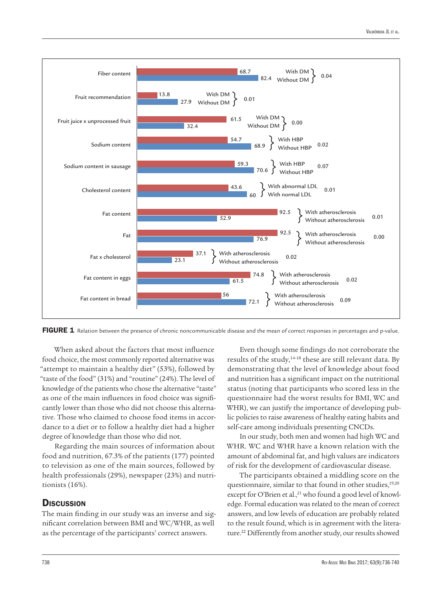

FIGURE 1 Relation between the presence of chronic noncommunicable disease and the mean of correct responses in percentages and p-value.

When asked about the factors that most influence food choice, the most commonly reported alternative was "attempt to maintain a healthy diet" (53%), followed by "taste of the food" (31%) and "routine" (24%). The level of knowledge of the patients who chose the alternative "taste" as one of the main influences in food choice was significantly lower than those who did not choose this alternative. Those who claimed to choose food items in accordance to a diet or to follow a healthy diet had a higher degree of knowledge than those who did not.

Regarding the main sources of information about food and nutrition, 67.3% of the patients (177) pointed to television as one of the main sources, followed by health professionals (29%), newspaper (23%) and nutritionists (16%).

## **DISCUSSION**

The main finding in our study was an inverse and significant correlation between BMI and WC/WHR, as well as the percentage of the participants' correct answers.

Even though some findings do not corroborate the results of the study,<sup>14-18</sup> these are still relevant data. By demonstrating that the level of knowledge about food and nutrition has a significant impact on the nutritional status (noting that participants who scored less in the questionnaire had the worst results for BMI, WC and WHR), we can justify the importance of developing public policies to raise awareness of healthy eating habits and self-care among individuals presenting CNCDs.

In our study, both men and women had high WC and WHR. WC and WHR have a known relation with the amount of abdominal fat, and high values are indicators of risk for the development of cardiovascular disease.

The participants obtained a middling score on the questionnaire, similar to that found in other studies,<sup>19,20</sup> except for O'Brien et al.,<sup>21</sup> who found a good level of knowledge. Formal education was related to the mean of correct answers, and low levels of education are probably related to the result found, which is in agreement with the literature.22 Differently from another study, our results showed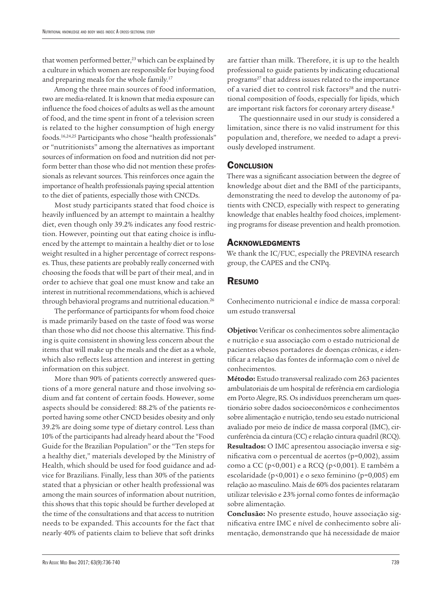that women performed better,<sup>23</sup> which can be explained by a culture in which women are responsible for buying food and preparing meals for the whole family.<sup>17</sup>

Among the three main sources of food information, two are media-related. It is known that media exposure can influence the food choices of adults as well as the amount of food, and the time spent in front of a television screen is related to the higher consumption of high energy foods.16,24,25 Participants who chose "health professionals" or "nutritionists" among the alternatives as important sources of information on food and nutrition did not perform better than those who did not mention these professionals as relevant sources. This reinforces once again the importance of health professionals paying special attention to the diet of patients, especially those with CNCDs.

Most study participants stated that food choice is heavily influenced by an attempt to maintain a healthy diet, even though only 39.2% indicates any food restriction. However, pointing out that eating choice is influenced by the attempt to maintain a healthy diet or to lose weight resulted in a higher percentage of correct responses. Thus, these patients are probably really concerned with choosing the foods that will be part of their meal, and in order to achieve that goal one must know and take an interest in nutritional recommendations, which is achieved through behavioral programs and nutritional education.<sup>26</sup>

The performance of participants for whom food choice is made primarily based on the taste of food was worse than those who did not choose this alternative. This finding is quite consistent in showing less concern about the items that will make up the meals and the diet as a whole, which also reflects less attention and interest in getting information on this subject.

More than 90% of patients correctly answered questions of a more general nature and those involving sodium and fat content of certain foods. However, some aspects should be considered: 88.2% of the patients reported having some other CNCD besides obesity and only 39.2% are doing some type of dietary control. Less than 10% of the participants had already heard about the "Food Guide for the Brazilian Population" or the "Ten steps for a healthy diet," materials developed by the Ministry of Health, which should be used for food guidance and advice for Brazilians. Finally, less than 30% of the patients stated that a physician or other health professional was among the main sources of information about nutrition, this shows that this topic should be further developed at the time of the consultations and that access to nutrition needs to be expanded. This accounts for the fact that nearly 40% of patients claim to believe that soft drinks

are fattier than milk. Therefore, it is up to the health professional to guide patients by indicating educational programs<sup>27</sup> that address issues related to the importance of a varied diet to control risk factors<sup>28</sup> and the nutritional composition of foods, especially for lipids, which are important risk factors for coronary artery disease.<sup>8</sup>

The questionnaire used in our study is considered a limitation, since there is no valid instrument for this population and, therefore, we needed to adapt a previously developed instrument.

#### **CONCLUSION**

There was a significant association between the degree of knowledge about diet and the BMI of the participants, demonstrating the need to develop the autonomy of patients with CNCD, especially with respect to generating knowledge that enables healthy food choices, implementing programs for disease prevention and health promotion.

#### **ACKNOWLEDGMENTS**

We thank the IC/FUC, especially the PREVINA research group, the CAPES and the CNPq.

#### Resumo

Conhecimento nutricional e índice de massa corporal: um estudo transversal

**Objetivo:** Verificar os conhecimentos sobre alimentação e nutrição e sua associação com o estado nutricional de pacientes obesos portadores de doenças crônicas, e identificar a relação das fontes de informação com o nível de conhecimentos.

**Método:** Estudo transversal realizado com 263 pacientes ambulatoriais de um hospital de referência em cardiologia em Porto Alegre, RS. Os indivíduos preencheram um questionário sobre dados socioeconômicos e conhecimentos sobre alimentação e nutrição, tendo seu estado nutricional avaliado por meio de índice de massa corporal (IMC), circunferência da cintura (CC) e relação cintura quadril (RCQ). **Resultados:** O IMC apresentou associação inversa e significativa com o percentual de acertos (p=0,002), assim como a CC (p<0,001) e a RCQ (p<0,001). E também a escolaridade (p<0,001) e o sexo feminino (p=0,005) em relação ao masculino. Mais de 60% dos pacientes relataram utilizar televisão e 23% jornal como fontes de informação sobre alimentação.

**Conclusão:** No presente estudo, houve associação significativa entre IMC e nível de conhecimento sobre alimentação, demonstrando que há necessidade de maior